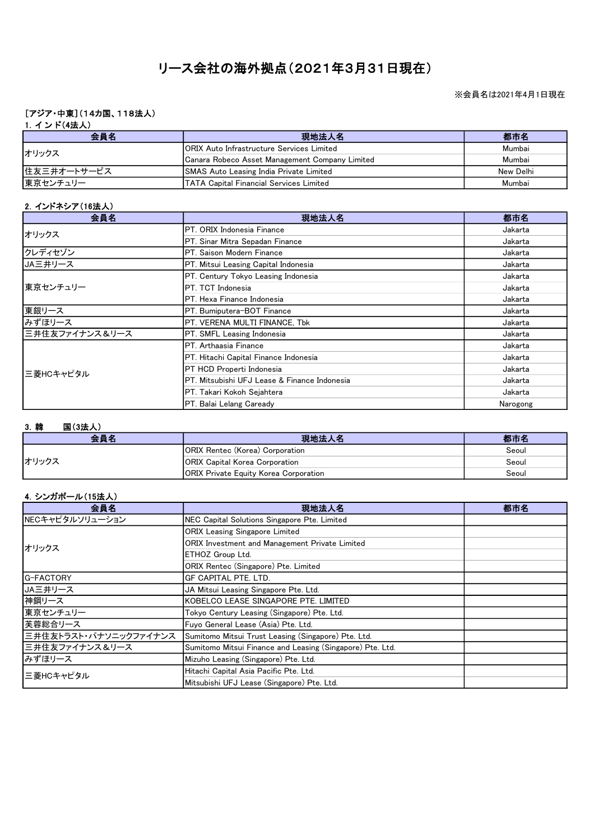# リース会社の海外拠点(2021年3月31日現在)

#### ※会員名は2021年4月1日現在

# [アジア・中東](14カ国、118法人)

# 1. インド(4法人)

| 会員名         | 現地法人名                                             | 都市名       |
|-------------|---------------------------------------------------|-----------|
| オリックス       | <b>IORIX Auto Infrastructure Services Limited</b> | Mumbai    |
|             | Canara Robeco Asset Management Company Limited    | Mumbai    |
| 住友三井オートサービス | <b>SMAS Auto Leasing India Private Limited</b>    | New Delhi |
| 東京センチュリー    | <b>TATA Capital Financial Services Limited</b>    | Mumbai    |

# 2.インドネシア(16法人)

| 会員名            | 現地法人名                                         | 都市名      |
|----------------|-----------------------------------------------|----------|
| オリックス          | <b>IPT. ORIX I</b> ndonesia Finance           | Jakarta  |
|                | PT. Sinar Mitra Sepadan Finance               | Jakarta  |
| クレディセゾン        | IPT. Saison Modern Finance                    | Jakarta  |
| JA三井リース        | <b>PT. Mitsui Leasing Capital Indonesia</b>   | Jakarta  |
|                | PT. Century Tokyo Leasing Indonesia           | Jakarta  |
| 東京センチュリー       | IPT. TCT Indonesia                            | Jakarta  |
|                | <b>I</b> PT. Hexa Finance Indonesia           | Jakarta  |
| 東銀リース          | PT. Bumiputera-BOT Finance                    | Jakarta  |
| みずほリース         | PT. VERENA MULTI FINANCE, Tbk                 | Jakarta  |
| 三井住友ファイナンス&リース | PT. SMFL Leasing Indonesia                    | Jakarta  |
|                | <b>I</b> PT. Arthaasia Finance                | Jakarta  |
|                | <b>IPT. Hitachi Capital Finance Indonesia</b> | Jakarta  |
| 三菱HCキャピタル      | PT HCD Properti Indonesia                     | Jakarta  |
|                | IPT. Mitsubishi UFJ Lease & Finance Indonesia | Jakarta  |
|                | <b>I</b> PT. Takari Kokoh Sejahtera           | Jakarta  |
|                | <b>PT. Balai Lelang Caready</b>               | Narogong |

### 3.韓 国(3法人)

| 会員名   | 現地法人名                                         | 都市名   |
|-------|-----------------------------------------------|-------|
| オリックス | <b>ORIX Rentec (Korea) Corporation</b>        | Seoul |
|       | <b>ORIX Capital Korea Corporation</b>         | Seoul |
|       | <b>JORIX Private Equity Korea Corporation</b> | Seoul |

#### 4.シンガポール(15法人)

| 会員名                   | 現地法人名                                                     | 都市名 |
|-----------------------|-----------------------------------------------------------|-----|
| NECキャピタルソリューション       | NEC Capital Solutions Singapore Pte. Limited              |     |
|                       | <b>ORIX Leasing Singapore Limited</b>                     |     |
| オリックス                 | ORIX Investment and Management Private Limited            |     |
|                       | ETHOZ Group Ltd.                                          |     |
|                       | ORIX Rentec (Singapore) Pte. Limited                      |     |
| <b>G-FACTORY</b>      | GF CAPITAL PTE. LTD.                                      |     |
| JA三井リース               | JA Mitsui Leasing Singapore Pte. Ltd.                     |     |
| 神鋼リース                 | KOBELCO LEASE SINGAPORE PTE. LIMITED                      |     |
| 東京センチュリー              | Tokyo Century Leasing (Singapore) Pte. Ltd.               |     |
| 芙蓉総合リース               | Fuyo General Lease (Asia) Pte. Ltd.                       |     |
| 三井住友トラスト・パナソニックファイナンス | Sumitomo Mitsui Trust Leasing (Singapore) Pte. Ltd.       |     |
| 三井住友ファイナンス&リース        | Sumitomo Mitsui Finance and Leasing (Singapore) Pte. Ltd. |     |
| みずほリース                | Mizuho Leasing (Singapore) Pte. Ltd.                      |     |
|                       | Hitachi Capital Asia Pacific Pte. Ltd.                    |     |
| 三菱HCキャピタル             | Mitsubishi UFJ Lease (Singapore) Pte. Ltd.                |     |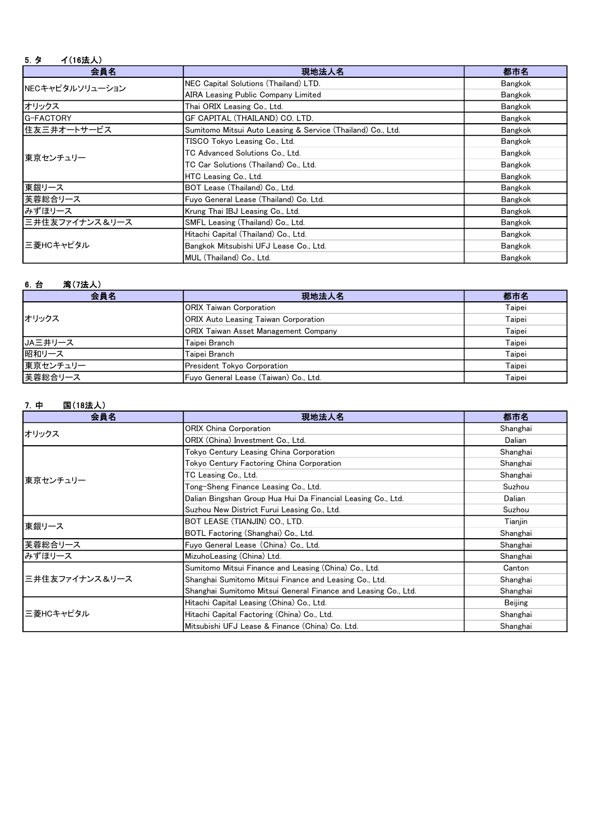# 5.タ イ(16法人)

| 会員名              | 現地法人名                                                       | 都市名     |
|------------------|-------------------------------------------------------------|---------|
| NECキャピタルソリューション  | NEC Capital Solutions (Thailand) LTD.                       | Bangkok |
|                  | <b>AIRA Leasing Public Company Limited</b>                  | Bangkok |
| オリックス            | Thai ORIX Leasing Co., Ltd.                                 | Bangkok |
| <b>G-FACTORY</b> | IGF CAPITAL (THAILAND) CO. LTD.                             | Bangkok |
| 住友三井オートサービス      | Sumitomo Mitsui Auto Leasing & Service (Thailand) Co., Ltd. | Bangkok |
|                  | TISCO Tokyo Leasing Co., Ltd.                               | Bangkok |
| 東京センチュリー         | TC Advanced Solutions Co., Ltd.                             | Bangkok |
|                  | TC Car Solutions (Thailand) Co., Ltd.                       | Bangkok |
|                  | HTC Leasing Co., Ltd.                                       | Bangkok |
| 東銀リース            | BOT Lease (Thailand) Co., Ltd.                              | Bangkok |
| 芙蓉総合リース          | Fuyo General Lease (Thailand) Co. Ltd.                      | Bangkok |
| みずほリース           | Krung Thai IBJ Leasing Co., Ltd.                            | Bangkok |
| 三井住友ファイナンス&リース   | SMFL Leasing (Thailand) Co., Ltd.                           | Bangkok |
| 三菱HCキャピタル        | Hitachi Capital (Thailand) Co., Ltd.                        | Bangkok |
|                  | Bangkok Mitsubishi UFJ Lease Co., Ltd.                      | Bangkok |
|                  | MUL (Thailand) Co., Ltd.                                    | Bangkok |

# 6.台 湾(7法人)

| 会員名      | 現地法人名                                       | 都市名    |
|----------|---------------------------------------------|--------|
|          | ORIX Taiwan Corporation                     | Taipei |
| オリックス    | <b>ORIX Auto Leasing Taiwan Corporation</b> | Taipei |
|          | <b>ORIX Taiwan Asset Management Company</b> | Taipei |
| JA三井リース  | Taipei Branch                               | Taipei |
| 昭和リース    | Taipei Branch                               | Taipei |
| 東京センチュリー | President Tokyo Corporation                 | Taipei |
| 芙蓉総合リース  | Fuvo General Lease (Taiwan) Co., Ltd.       | Taipei |

# 7.中 国(18法人)

| 会員名            | 現地法人名                                                          | 都市名      |
|----------------|----------------------------------------------------------------|----------|
| オリックス          | <b>ORIX China Corporation</b>                                  | Shanghai |
|                | ORIX (China) Investment Co., Ltd.                              | Dalian   |
|                | Tokyo Century Leasing China Corporation                        | Shanghai |
|                | Tokyo Century Factoring China Corporation                      | Shanghai |
| 東京センチュリー       | TC Leasing Co., Ltd.                                           | Shanghai |
|                | Tong-Sheng Finance Leasing Co., Ltd.                           | Suzhou   |
|                | Dalian Bingshan Group Hua Hui Da Financial Leasing Co., Ltd.   | Dalian   |
|                | Suzhou New District Furui Leasing Co., Ltd.                    | Suzhou   |
| 東銀リース          | BOT LEASE (TIANJIN) CO., LTD.                                  | Tianjin  |
|                | BOTL Factoring (Shanghai) Co., Ltd.                            | Shanghai |
| 芙蓉総合リース        | Fuyo General Lease (China) Co., Ltd.                           | Shanghai |
| みずほリース         | MizuhoLeasing (China) Ltd.                                     | Shanghai |
|                | Sumitomo Mitsui Finance and Leasing (China) Co., Ltd.          | Canton   |
| 三井住友ファイナンス&リース | Shanghai Sumitomo Mitsui Finance and Leasing Co., Ltd.         | Shanghai |
|                | Shanghai Sumitomo Mitsui General Finance and Leasing Co., Ltd. | Shanghai |
| 三菱HCキャピタル      | Hitachi Capital Leasing (China) Co., Ltd.                      | Beijing  |
|                | Hitachi Capital Factoring (China) Co., Ltd.                    | Shanghai |
|                | Mitsubishi UFJ Lease & Finance (China) Co. Ltd.                | Shanghai |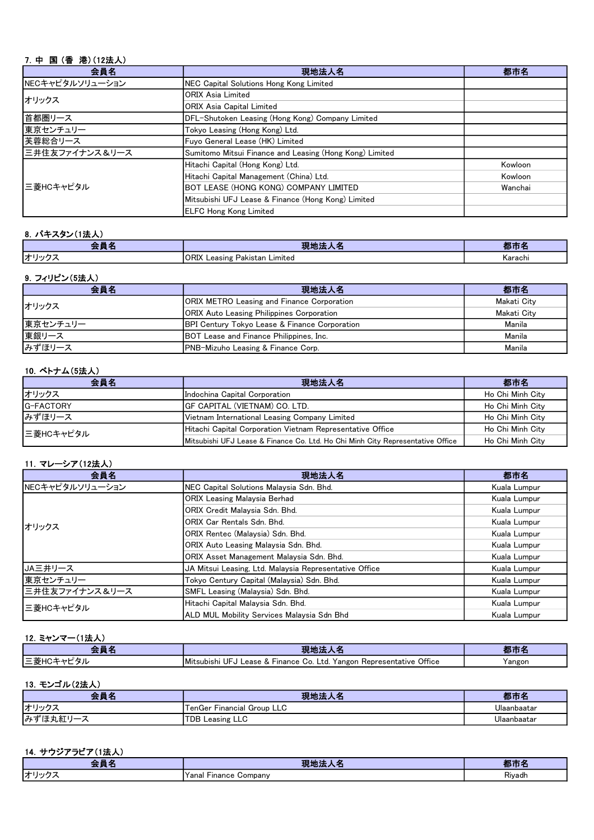# 7.中 国 (香 港)(12法人)

| 会員名             | 現地法人名                                                   | 都市名     |
|-----------------|---------------------------------------------------------|---------|
| NECキャピタルソリューション | NEC Capital Solutions Hong Kong Limited                 |         |
| オリックス           | <b>ORIX Asia Limited</b>                                |         |
|                 | <b>ORIX Asia Capital Limited</b>                        |         |
| 首都圏リース          | DFL-Shutoken Leasing (Hong Kong) Company Limited        |         |
| 東京センチュリー        | Tokyo Leasing (Hong Kong) Ltd.                          |         |
| 芙蓉総合リース         | Fuyo General Lease (HK) Limited                         |         |
| 三井住友ファイナンス&リース  | Sumitomo Mitsui Finance and Leasing (Hong Kong) Limited |         |
|                 | Hitachi Capital (Hong Kong) Ltd.                        | Kowloon |
|                 | Hitachi Capital Management (China) Ltd.                 | Kowloon |
| 三菱HCキャピタル       | <b>BOT LEASE (HONG KONG) COMPANY LIMITED</b>            | Wanchai |
|                 | Mitsubishi UFJ Lease & Finance (Hong Kong) Limited      |         |
|                 | <b>IELFC Hong Kong Limited</b>                          |         |

# 8.パキスタン(1法人)

| --<br>$-1.5$ | $-1$<br>1,240<br>- 75<br>.<br>- 22            | ш       |
|--------------|-----------------------------------------------|---------|
| オリック         | ∩n™<br>Limited<br>. Leasing Pakistan<br>.URIA | Karachi |

#### 9.フィリピン(5法人)

| 会員名      | 現地法人名                                                    | 都市名         |
|----------|----------------------------------------------------------|-------------|
| オリックス    | <b>JORIX METRO Leasing and Finance Corporation</b>       | Makati Citv |
|          | <b>ORIX Auto Leasing Philippines Corporation</b>         | Makati City |
| 東京センチュリー | <b>BPI Century Tokyo Lease &amp; Finance Corporation</b> | Manila      |
| 東銀リース    | <b>BOT Lease and Finance Philippines, Inc.</b>           | Manila      |
| みずほリース   | <b>IPNB-Mizuho Leasing &amp; Finance Corp.</b>           | Manila      |

#### 10.ベトナム(5法人)

| 会員名              | 現地法人名                                                                          | 都市名              |
|------------------|--------------------------------------------------------------------------------|------------------|
| オリックス            | Indochina Capital Corporation                                                  | Ho Chi Minh City |
| <b>G-FACTORY</b> | IGF CAPITAL (VIETNAM) CO. LTD.                                                 | Ho Chi Minh City |
| みずほリース           | Vietnam International Leasing Company Limited                                  | Ho Chi Minh City |
| 三菱HCキャピタル        | Hitachi Capital Corporation Vietnam Representative Office                      | Ho Chi Minh City |
|                  | Mitsubishi UFJ Lease & Finance Co. Ltd. Ho Chi Minh City Representative Office | Ho Chi Minh City |

#### 11.マレーシア(12法人)

| 会員名             | 現地法人名                                                  | 都市名          |
|-----------------|--------------------------------------------------------|--------------|
| NECキャピタルソリューション | NEC Capital Solutions Malaysia Sdn. Bhd.               | Kuala Lumpur |
|                 | <b>ORIX Leasing Malaysia Berhad</b>                    | Kuala Lumpur |
|                 | ORIX Credit Malaysia Sdn. Bhd.                         | Kuala Lumpur |
| オリックス           | ORIX Car Rentals Sdn. Bhd.                             | Kuala Lumpur |
|                 | ORIX Rentec (Malaysia) Sdn. Bhd.                       | Kuala Lumpur |
|                 | ORIX Auto Leasing Malaysia Sdn. Bhd.                   | Kuala Lumpur |
|                 | ORIX Asset Management Malaysia Sdn. Bhd.               | Kuala Lumpur |
| IJA三井リース        | JA Mitsui Leasing, Ltd. Malaysia Representative Office | Kuala Lumpur |
| 東京センチュリー        | Tokyo Century Capital (Malaysia) Sdn. Bhd.             | Kuala Lumpur |
| 三井住友ファイナンス&リース  | SMFL Leasing (Malaysia) Sdn. Bhd.                      | Kuala Lumpur |
| 三菱HCキャピタル       | Hitachi Capital Malaysia Sdn. Bhd.                     | Kuala Lumpur |
|                 | IALD MUL Mobility Services Malavsia Sdn Bhd            | Kuala Lumpur |

# 12.ミャンマー(1法人)

|                                                         |                                                                                                                  | <b>The</b> |
|---------------------------------------------------------|------------------------------------------------------------------------------------------------------------------|------------|
| $- +$<br>ו ה<br>المستقصف والمستعدد<br>$ \approx$<br>.,, | Office<br><b>I</b> Mitsubishi<br>UE<br>_td.<br>Yangon<br>GO.<br>ease<br><b>Finance</b><br>Representative<br>. ٨٠ | Yangor     |

#### 13.モンゴル(2法人)

| - -<br>去只                                         | 現地法                           | $+ + +$<br>ŦP |
|---------------------------------------------------|-------------------------------|---------------|
| オリックニ                                             | Financial Group LLC<br>⊥enGer | Ulaanbaatar   |
| <b>みず</b><br>-<br>$\mathbf{v}$<br>$\sim$<br>アレリュー | <b>TDB Leasing LLC</b>        | Ulaanbaatar   |

# 14.サウジアラビア(1法人)

| $\mathcal{L}(\mathcal{L})$ and $\mathcal{L}(\mathcal{L})$ and $\mathcal{L}(\mathcal{L})$<br>-- | <b>11</b><br>.<br>.              | <b>ABD</b><br>--    |
|------------------------------------------------------------------------------------------------|----------------------------------|---------------------|
| オリッ・                                                                                           | 'Yanal .<br>ompanvٽ .<br>Finance | ŕ.<br><b>Rivadh</b> |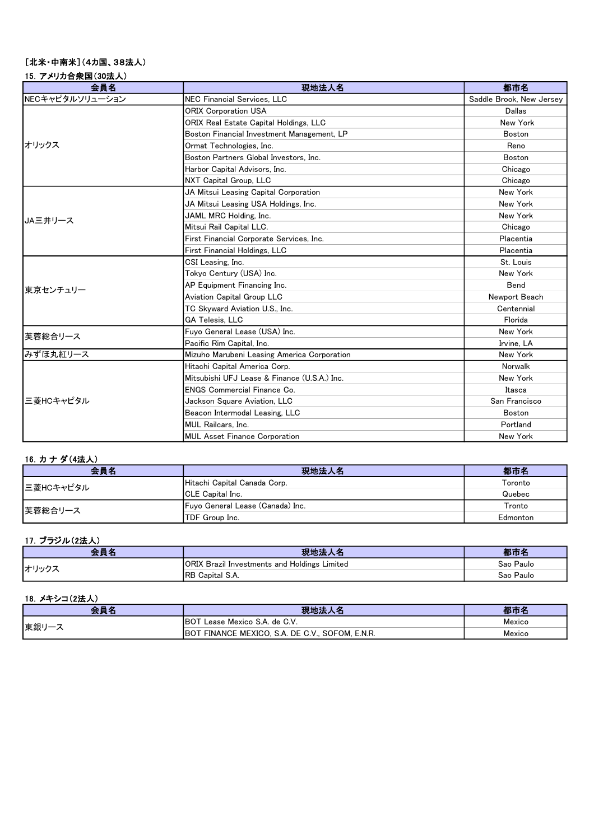# [北米・中南米](4カ国、38法人)

| 15. アメリカ合衆国(30法人) |  |
|-------------------|--|
|                   |  |

| 会員名             | 現地法人名                                        | 都市名                      |
|-----------------|----------------------------------------------|--------------------------|
| NECキャピタルソリューション | <b>NEC Financial Services, LLC</b>           | Saddle Brook, New Jersey |
|                 | <b>ORIX Corporation USA</b>                  | Dallas                   |
|                 | ORIX Real Estate Capital Holdings, LLC       | New York                 |
|                 | Boston Financial Investment Management, LP   | <b>Boston</b>            |
| オリックス           | Ormat Technologies, Inc.                     | Reno                     |
|                 | Boston Partners Global Investors, Inc.       | Boston                   |
|                 | Harbor Capital Advisors, Inc.                | Chicago                  |
|                 | NXT Capital Group, LLC                       | Chicago                  |
|                 | JA Mitsui Leasing Capital Corporation        | New York                 |
|                 | JA Mitsui Leasing USA Holdings, Inc.         | New York                 |
| JA三井リース         | JAML MRC Holding, Inc.                       | New York                 |
|                 | Mitsui Rail Capital LLC.                     | Chicago                  |
|                 | First Financial Corporate Services, Inc.     | Placentia                |
|                 | First Financial Holdings, LLC                | Placentia                |
|                 | CSI Leasing, Inc.                            | St. Louis                |
|                 | Tokyo Century (USA) Inc.                     | New York                 |
| 東京センチュリー        | AP Equipment Financing Inc.                  | Bend                     |
|                 | Aviation Capital Group LLC                   | Newport Beach            |
|                 | TC Skyward Aviation U.S., Inc.               | Centennial               |
|                 | <b>GA Telesis, LLC</b>                       | Florida                  |
| 芙蓉総合リース         | Fuyo General Lease (USA) Inc.                | New York                 |
|                 | Pacific Rim Capital, Inc.                    | Irvine, LA               |
| みずほ丸紅リース        | Mizuho Marubeni Leasing America Corporation  | New York                 |
|                 | Hitachi Capital America Corp.                | Norwalk                  |
| 三菱HCキャピタル       | Mitsubishi UFJ Lease & Finance (U.S.A.) Inc. | New York                 |
|                 | <b>ENGS Commercial Finance Co.</b>           | Itasca                   |
|                 | Jackson Square Aviation, LLC                 | San Francisco            |
|                 | Beacon Intermodal Leasing, LLC               | Boston                   |
|                 | MUL Railcars. Inc.                           | Portland                 |
|                 | <b>MUL Asset Finance Corporation</b>         | New York                 |

# 16.カ ナ ダ(4法人)

| 会員名       | 現地法人名                            | 都市名      |
|-----------|----------------------------------|----------|
| 三菱HCキャピタル | Hitachi Capital Canada Corp.     | Toronto  |
|           | <b>ICLE Capital Inc.</b>         | Quebec   |
| 芙蓉総合リース   | Fuyo General Lease (Canada) Inc. | Tronto   |
|           | <b>ITDF Group Inc.</b>           | Edmonton |

# 17.ブラジル(2法人)

| 会員名   | 現地法<br>人名                                    | en m      |
|-------|----------------------------------------------|-----------|
| オリックス | ORIX Brazil Investments and Holdings Limited | Sao Paulo |
|       | <sup>3</sup> Capital S.A.<br>IRB             | Sao Paulo |

# 18.メキシコ(2法人)

| 会員名  | 現地法人名                                           | 都市名    |
|------|-------------------------------------------------|--------|
| 東銀リー | - Lease Mexico S.A. de C.V.<br><b>IBOT</b>      | Mexico |
|      | BOT FINANCE MEXICO, S.A. DE C.V., SOFOM, E.N.R. | Mexico |